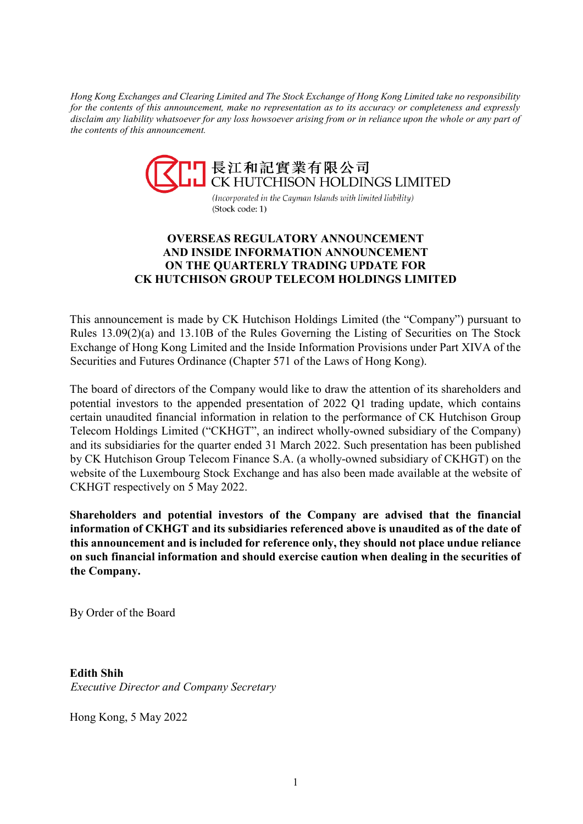*Hong Kong Exchanges and Clearing Limited and The Stock Exchange of Hong Kong Limited take no responsibility for the contents of this announcement, make no representation as to its accuracy or completeness and expressly disclaim any liability whatsoever for any loss howsoever arising from or in reliance upon the whole or any part of the contents of this announcement.*



(Incorporated in the Cayman Islands with limited liability) (Stock code: 1)

## **OVERSEAS REGULATORY ANNOUNCEMENT AND INSIDE INFORMATION ANNOUNCEMENT ON THE QUARTERLY TRADING UPDATE FOR CK HUTCHISON GROUP TELECOM HOLDINGS LIMITED**

This announcement is made by CK Hutchison Holdings Limited (the "Company") pursuant to Rules 13.09(2)(a) and 13.10B of the Rules Governing the Listing of Securities on The Stock Exchange of Hong Kong Limited and the Inside Information Provisions under Part XIVA of the Securities and Futures Ordinance (Chapter 571 of the Laws of Hong Kong).

The board of directors of the Company would like to draw the attention of its shareholders and potential investors to the appended presentation of 2022 Q1 trading update, which contains certain unaudited financial information in relation to the performance of CK Hutchison Group Telecom Holdings Limited ("CKHGT", an indirect wholly-owned subsidiary of the Company) and its subsidiaries for the quarter ended 31 March 2022. Such presentation has been published by CK Hutchison Group Telecom Finance S.A. (a wholly-owned subsidiary of CKHGT) on the website of the Luxembourg Stock Exchange and has also been made available at the website of CKHGT respectively on 5 May 2022.

**Shareholders and potential investors of the Company are advised that the financial information of CKHGT and its subsidiaries referenced above is unaudited as of the date of this announcement and is included for reference only, they should not place undue reliance on such financial information and should exercise caution when dealing in the securities of the Company.**

By Order of the Board

**Edith Shih**  *Executive Director and Company Secretary*

Hong Kong, 5 May 2022